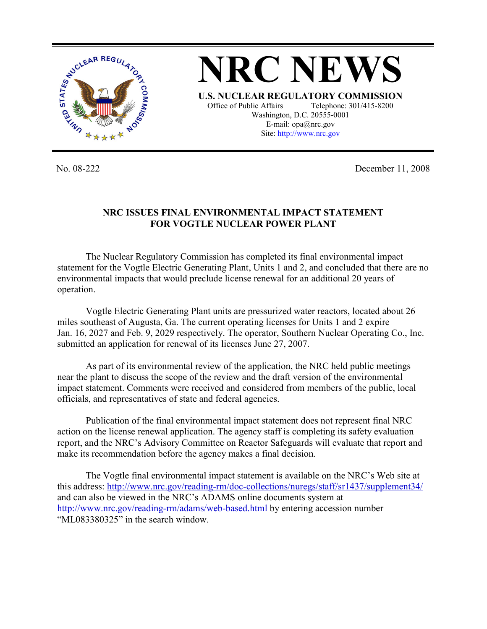

**NRC NEWS U.S. NUCLEAR REGULATORY COMMISSION** Office of Public Affairs Telephone: 301/415-8200 Washington, D.C. 20555-0001 E-mail: opa@nrc.gov Site: http://www.nrc.gov

No. 08-222 December 11, 2008

## **NRC ISSUES FINAL ENVIRONMENTAL IMPACT STATEMENT FOR VOGTLE NUCLEAR POWER PLANT**

 The Nuclear Regulatory Commission has completed its final environmental impact statement for the Vogtle Electric Generating Plant, Units 1 and 2, and concluded that there are no environmental impacts that would preclude license renewal for an additional 20 years of operation.

 Vogtle Electric Generating Plant units are pressurized water reactors, located about 26 miles southeast of Augusta, Ga. The current operating licenses for Units 1 and 2 expire Jan. 16, 2027 and Feb. 9, 2029 respectively. The operator, Southern Nuclear Operating Co., Inc. submitted an application for renewal of its licenses June 27, 2007.

 As part of its environmental review of the application, the NRC held public meetings near the plant to discuss the scope of the review and the draft version of the environmental impact statement. Comments were received and considered from members of the public, local officials, and representatives of state and federal agencies.

 Publication of the final environmental impact statement does not represent final NRC action on the license renewal application. The agency staff is completing its safety evaluation report, and the NRC's Advisory Committee on Reactor Safeguards will evaluate that report and make its recommendation before the agency makes a final decision.

 The Vogtle final environmental impact statement is available on the NRC's Web site at this address: http://www.nrc.gov/reading-rm/doc-collections/nuregs/staff/sr1437/supplement34/ and can also be viewed in the NRC's ADAMS online documents system at http://www.nrc.gov/reading-rm/adams/web-based.html by entering accession number "ML083380325" in the search window.